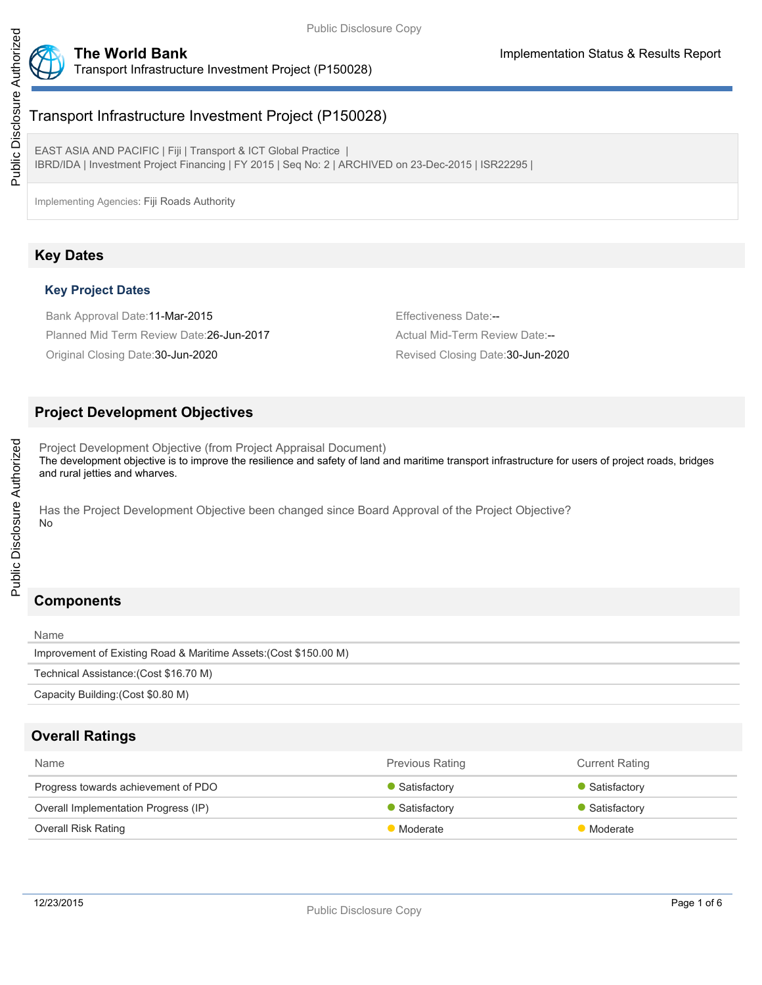

# Transport Infrastructure Investment Project (P150028)

EAST ASIA AND PACIFIC | Fiji | Transport & ICT Global Practice | IBRD/IDA | Investment Project Financing | FY 2015 | Seq No: 2 | ARCHIVED on 23-Dec-2015 | ISR22295 |

Implementing Agencies: Fiji Roads Authority

# **Key Dates**

## **Key Project Dates**

Bank Approval Date:11-Mar-2015 **Effectiveness Date:--**Planned Mid Term Review Date:26-Jun-2017 Actual Mid-Term Review Date:--Original Closing Date:30-Jun-2020 Revised Closing Date:30-Jun-2020

# **Project Development Objectives**

Project Development Objective (from Project Appraisal Document) The development objective is to improve the resilience and safety of land and maritime transport infrastructure for users of project roads, bridges and rural jetties and wharves.

Has the Project Development Objective been changed since Board Approval of the Project Objective? No

# **Components**

| Name                                                              |
|-------------------------------------------------------------------|
| Improvement of Existing Road & Maritime Assets: (Cost \$150.00 M) |
| Technical Assistance: (Cost \$16.70 M)                            |
| Capacity Building: (Cost \$0.80 M)                                |

## **Overall Ratings**

| <b>Name</b>                          | <b>Previous Rating</b> | <b>Current Rating</b>       |
|--------------------------------------|------------------------|-----------------------------|
| Progress towards achievement of PDO  | Satisfactory           | Satisfactory                |
| Overall Implementation Progress (IP) | Satisfactory           | $\blacksquare$ Satisfactory |
| <b>Overall Risk Rating</b>           | Moderate               | <b>Moderate</b>             |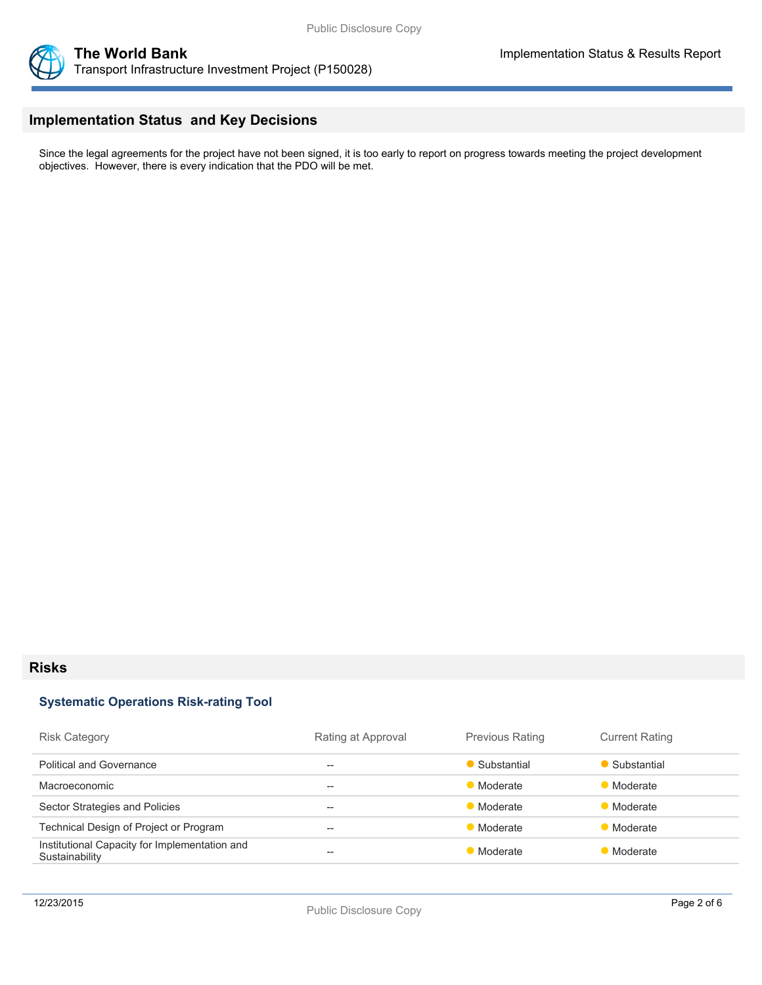



# **Implementation Status and Key Decisions**

Since the legal agreements for the project have not been signed, it is too early to report on progress towards meeting the project development objectives. However, there is every indication that the PDO will be met.

## **Risks**

### **Systematic Operations Risk-rating Tool**

| <b>Risk Category</b>                                            | Rating at Approval | <b>Previous Rating</b> | <b>Current Rating</b> |
|-----------------------------------------------------------------|--------------------|------------------------|-----------------------|
| <b>Political and Governance</b>                                 | --                 | • Substantial          | Substantial           |
| <b>Macroeconomic</b>                                            | --                 | Moderate               | Moderate              |
| Sector Strategies and Policies                                  | --                 | Moderate               | Moderate              |
| Technical Design of Project or Program                          | --                 | Moderate               | Moderate              |
| Institutional Capacity for Implementation and<br>Sustainability | --                 | <b>Moderate</b>        | Moderate              |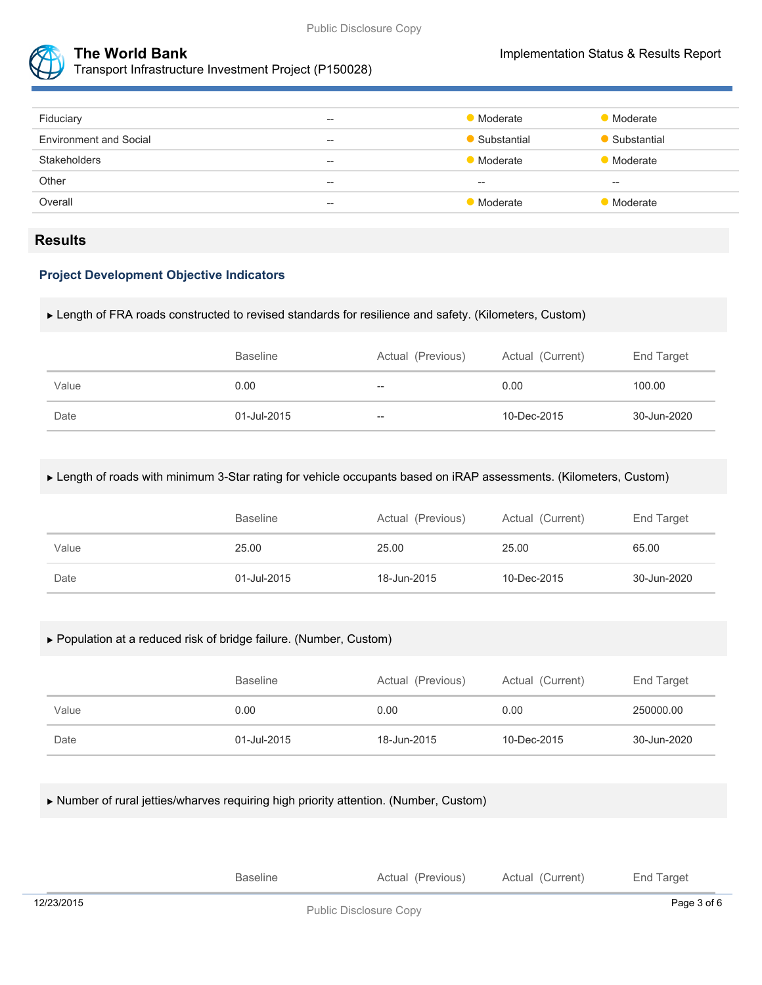

| Fiduciary                     | $\overline{\phantom{m}}$ | <b>Moderate</b> | <b>Moderate</b> |
|-------------------------------|--------------------------|-----------------|-----------------|
| <b>Environment and Social</b> | $\overline{\phantom{m}}$ | Substantial     | Substantial     |
| <b>Stakeholders</b>           | $-$                      | Moderate        | Moderate        |
| Other                         | $- -$                    | $- -$           | $- -$           |
| Overall                       | $\overline{\phantom{m}}$ | • Moderate      | Moderate        |
|                               |                          |                 |                 |

## **Results**

## **Project Development Objective Indicators**

#### Length of FRA roads constructed to revised standards for resilience and safety. (Kilometers, Custom)

|       | <b>Baseline</b> | Actual (Previous)        | Actual (Current) | End Target  |
|-------|-----------------|--------------------------|------------------|-------------|
| Value | 0.00            | $\overline{\phantom{m}}$ | 0.00             | 100.00      |
| Date  | 01-Jul-2015     | $- -$                    | 10-Dec-2015      | 30-Jun-2020 |

#### Length of roads with minimum 3-Star rating for vehicle occupants based on iRAP assessments. (Kilometers, Custom)

|       | <b>Baseline</b> | Actual (Previous) | Actual (Current) | End Target  |
|-------|-----------------|-------------------|------------------|-------------|
| Value | 25.00           | 25.00             | 25.00            | 65.00       |
| Date  | 01-Jul-2015     | 18-Jun-2015       | 10-Dec-2015      | 30-Jun-2020 |

#### Population at a reduced risk of bridge failure. (Number, Custom)

|       | <b>Baseline</b> | Actual (Previous) | Actual (Current) | End Target  |
|-------|-----------------|-------------------|------------------|-------------|
| Value | 0.00            | 0.00              | 0.00             | 250000.00   |
| Date  | 01-Jul-2015     | 18-Jun-2015       | 10-Dec-2015      | 30-Jun-2020 |

Number of rural jetties/wharves requiring high priority attention. (Number, Custom)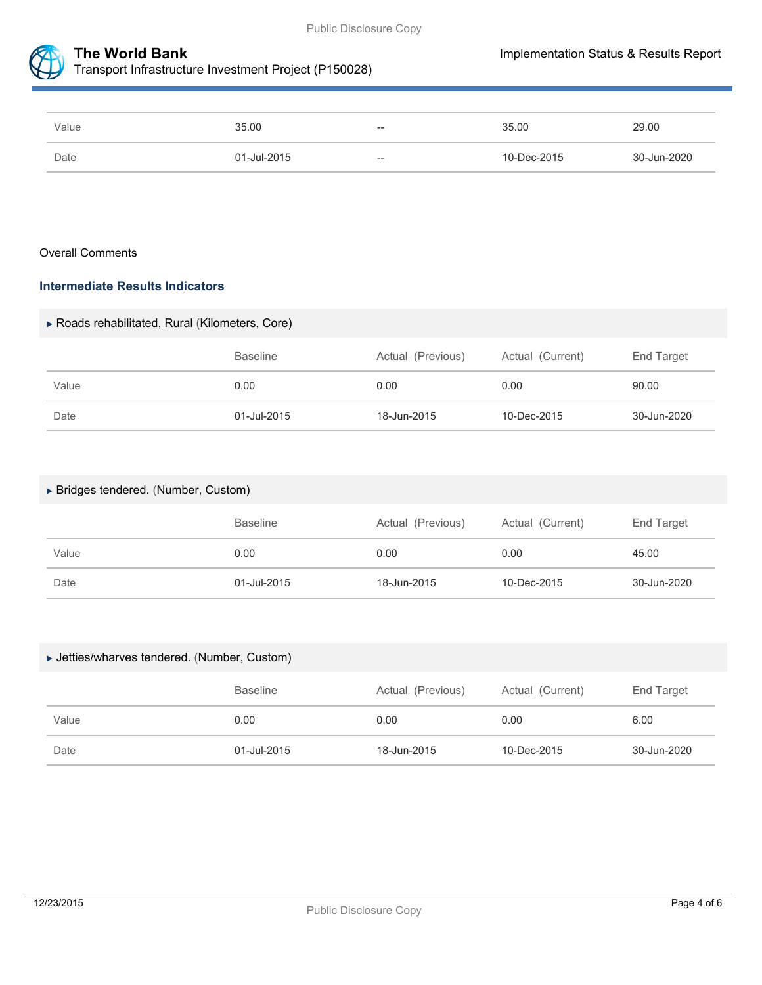



Transport Infrastructure Investment Project (P150028)

| Value | 35.00       | $- -$ | 35.00       | 29.00       |
|-------|-------------|-------|-------------|-------------|
| Date  | 01-Jul-2015 | $- -$ | 10-Dec-2015 | 30-Jun-2020 |

#### Overall Comments

## **Intermediate Results Indicators**

### Roads rehabilitated, Rural (Kilometers, Core)

|       | <b>Baseline</b> | Actual (Previous) | Actual (Current) | End Target  |
|-------|-----------------|-------------------|------------------|-------------|
| Value | 0.00            | 0.00              | 0.00             | 90.00       |
| Date  | 01-Jul-2015     | 18-Jun-2015       | 10-Dec-2015      | 30-Jun-2020 |

#### Bridges tendered. (Number, Custom)

|       | <b>Baseline</b> | Actual (Previous) | Actual (Current) | End Target  |
|-------|-----------------|-------------------|------------------|-------------|
| Value | 0.00            | 0.00              | 0.00             | 45.00       |
| Date  | 01-Jul-2015     | 18-Jun-2015       | 10-Dec-2015      | 30-Jun-2020 |

### Jetties/wharves tendered. (Number, Custom)

|       | <b>Baseline</b> | Actual (Previous) | Actual (Current) | End Target  |
|-------|-----------------|-------------------|------------------|-------------|
| Value | 0.00            | 0.00              | 0.00             | 6.00        |
| Date  | 01-Jul-2015     | 18-Jun-2015       | 10-Dec-2015      | 30-Jun-2020 |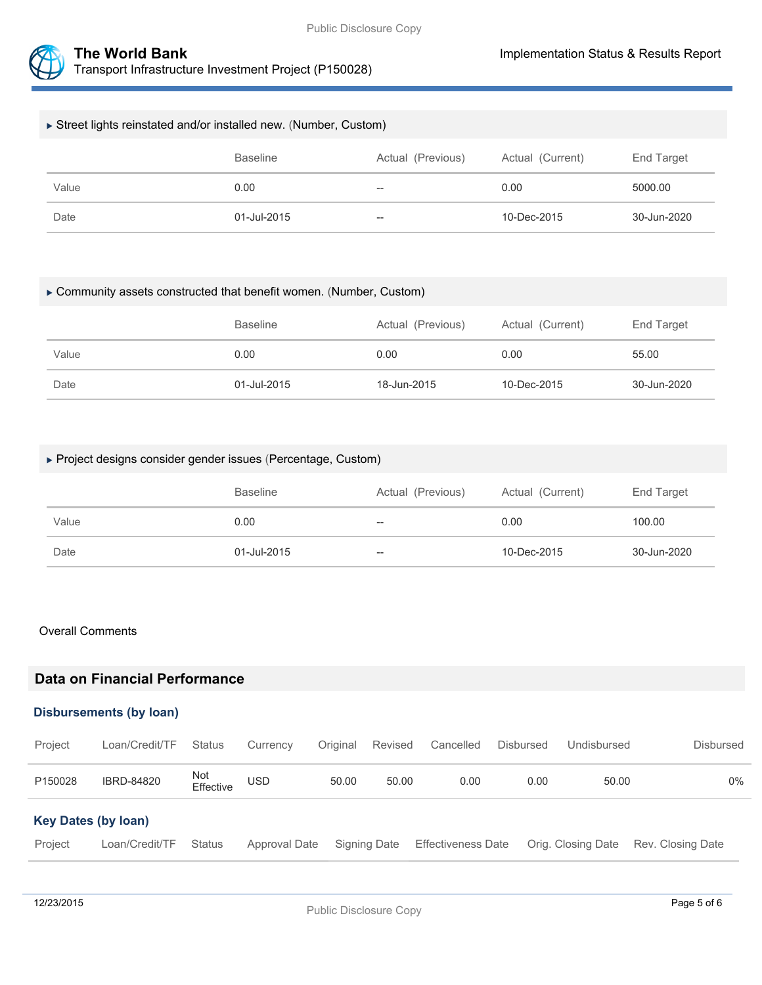



| Street lights reinstated and/or installed new. (Number, Custom) |                 |                   |                  |             |  |
|-----------------------------------------------------------------|-----------------|-------------------|------------------|-------------|--|
|                                                                 | <b>Baseline</b> | Actual (Previous) | Actual (Current) | End Target  |  |
| Value                                                           | 0.00            | $\hspace{0.05cm}$ | 0.00             | 5000.00     |  |
| Date                                                            | 01-Jul-2015     | $\hspace{0.05cm}$ | 10-Dec-2015      | 30-Jun-2020 |  |

#### Community assets constructed that benefit women. (Number, Custom)

|       | <b>Baseline</b> | Actual (Previous) | Actual (Current) | End Target  |
|-------|-----------------|-------------------|------------------|-------------|
| Value | 0.00            | 0.00              | 0.00             | 55.00       |
| Date  | 01-Jul-2015     | 18-Jun-2015       | 10-Dec-2015      | 30-Jun-2020 |

## Project designs consider gender issues (Percentage, Custom)

|       | <b>Baseline</b> | Actual (Previous) | Actual (Current) | End Target  |
|-------|-----------------|-------------------|------------------|-------------|
| Value | 0.00            | $-\!$             | 0.00             | 100.00      |
| Date  | 01-Jul-2015     | $-\!$             | 10-Dec-2015      | 30-Jun-2020 |

#### Overall Comments

# **Data on Financial Performance**

## **Disbursements (by loan)**

| Project                    | Loan/Credit/TF | <b>Status</b>    | Currency      | Original | Revised      | Cancelled                 | <b>Disbursed</b> | Undisbursed        | Disbursed         |
|----------------------------|----------------|------------------|---------------|----------|--------------|---------------------------|------------------|--------------------|-------------------|
| P150028                    | IBRD-84820     | Not<br>Effective | USD           | 50.00    | 50.00        | 0.00                      | 0.00             | 50.00              | $0\%$             |
| <b>Key Dates (by loan)</b> |                |                  |               |          |              |                           |                  |                    |                   |
| Project                    | Loan/Credit/TF | <b>Status</b>    | Approval Date |          | Signing Date | <b>Effectiveness Date</b> |                  | Orig. Closing Date | Rev. Closing Date |